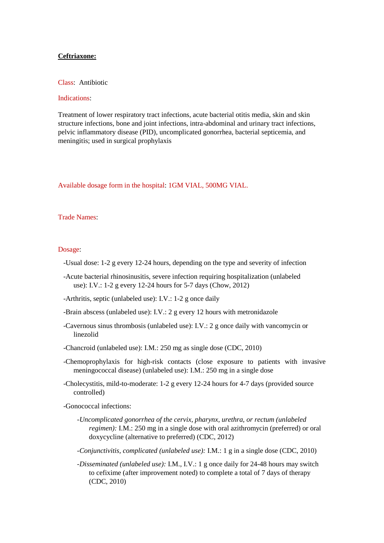## **Ceftriaxone:**

Class: Antibiotic

## Indications:

Treatment of lower respiratory tract infections, acute bacterial otitis media, skin and skin structure infections, bone and joint infections, intra-abdominal and urinary tract infections, pelvic inflammatory disease (PID), uncomplicated gonorrhea, bacterial septicemia, and meningitis; used in surgical prophylaxis

Available dosage form in the hospital: 1GM VIAL, 500MG VIAL.

Trade Names:

## Dosage:

- -Usual dose: 1-2 g every 12-24 hours, depending on the type and severity of infection
- -Acute bacterial rhinosinusitis, severe infection requiring hospitalization (unlabeled use): I.V.: 1-2 g every 12-24 hours for 5-7 days (Chow, 2012)
- -Arthritis, septic (unlabeled use): I.V.: 1-2 g once daily
- -Brain abscess (unlabeled use): I.V.: 2 g every 12 hours with metronidazole
- -Cavernous sinus thrombosis (unlabeled use): I.V.: 2 g once daily with vancomycin or linezolid
- -Chancroid (unlabeled use): I.M.: 250 mg as single dose (CDC, 2010)
- -Chemoprophylaxis for high-risk contacts (close exposure to patients with invasive meningococcal disease) (unlabeled use): I.M.: 250 mg in a single dose
- -Cholecystitis, mild-to-moderate: 1-2 g every 12-24 hours for 4-7 days (provided source controlled)
- -Gonococcal infections:
	- *-Uncomplicated gonorrhea of the cervix, pharynx, urethra, or rectum (unlabeled regimen):* I.M.: 250 mg in a single dose with oral azithromycin (preferred) or oral doxycycline (alternative to preferred) (CDC, 2012)
	- *-Conjunctivitis, complicated (unlabeled use):* I.M.: 1 g in a single dose (CDC, 2010)

 *-Disseminated (unlabeled use):* I.M., I.V.: 1 g once daily for 24-48 hours may switch to cefixime (after improvement noted) to complete a total of 7 days of therapy (CDC, 2010)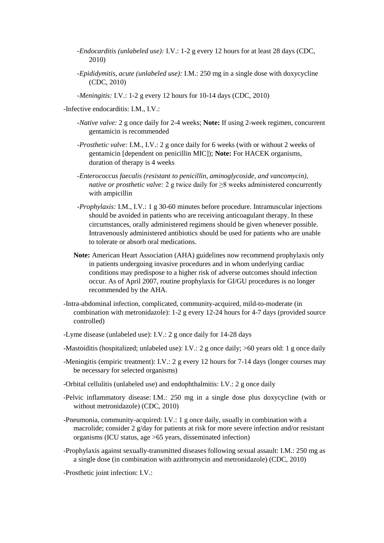- *-Endocarditis (unlabeled use):* I.V.: 1-2 g every 12 hours for at least 28 days (CDC, 2010)
- *-Epididymitis, acute (unlabeled use):* I.M.: 250 mg in a single dose with doxycycline (CDC, 2010)
- *-Meningitis:* I.V.: 1-2 g every 12 hours for 10-14 days (CDC, 2010)
- -Infective endocarditis: I.M., I.V.:
	- *-Native valve:* 2 g once daily for 2-4 weeks; **Note:** If using 2-week regimen, concurrent gentamicin is recommended
	- *-Prosthetic valve:* I.M., I.V.: 2 g once daily for 6 weeks (with or without 2 weeks of gentamicin [dependent on penicillin MIC]); **Note:** For HACEK organisms, duration of therapy is 4 weeks
	- *-Enterococcus faecalis (resistant to penicillin, aminoglycoside, and vancomycin), native or prosthetic valve:* 2 g twice daily for ≥8 weeks administered concurrently with ampicillin
	- *-Prophylaxis:* I.M., I.V.: 1 g 30-60 minutes before procedure. Intramuscular injections should be avoided in patients who are receiving anticoagulant therapy. In these circumstances, orally administered regimens should be given whenever possible. Intravenously administered antibiotics should be used for patients who are unable to tolerate or absorb oral medications.
	- **Note:** American Heart Association (AHA) guidelines now recommend prophylaxis only in patients undergoing invasive procedures and in whom underlying cardiac conditions may predispose to a higher risk of adverse outcomes should infection occur. As of April 2007, routine prophylaxis for GI/GU procedures is no longer recommended by the AHA.
- -Intra-abdominal infection, complicated, community-acquired, mild-to-moderate (in combination with metronidazole): 1-2 g every 12-24 hours for 4-7 days (provided source controlled)
- -Lyme disease (unlabeled use): I.V.: 2 g once daily for 14-28 days
- -Mastoiditis (hospitalized; unlabeled use): I.V.: 2 g once daily; >60 years old: 1 g once daily
- -Meningitis (empiric treatment): I.V.: 2 g every 12 hours for 7-14 days (longer courses may be necessary for selected organisms)
- -Orbital cellulitis (unlabeled use) and endophthalmitis: I.V.: 2 g once daily
- -Pelvic inflammatory disease: I.M.: 250 mg in a single dose plus doxycycline (with or without metronidazole) (CDC, 2010)
- -Pneumonia, community-acquired: I.V.: 1 g once daily, usually in combination with a macrolide; consider 2 g/day for patients at risk for more severe infection and/or resistant organisms (ICU status, age >65 years, disseminated infection)
- -Prophylaxis against sexually-transmitted diseases following sexual assault: I.M.: 250 mg as a single dose (in combination with azithromycin and metronidazole) (CDC, 2010)
- -Prosthetic joint infection: I.V.: